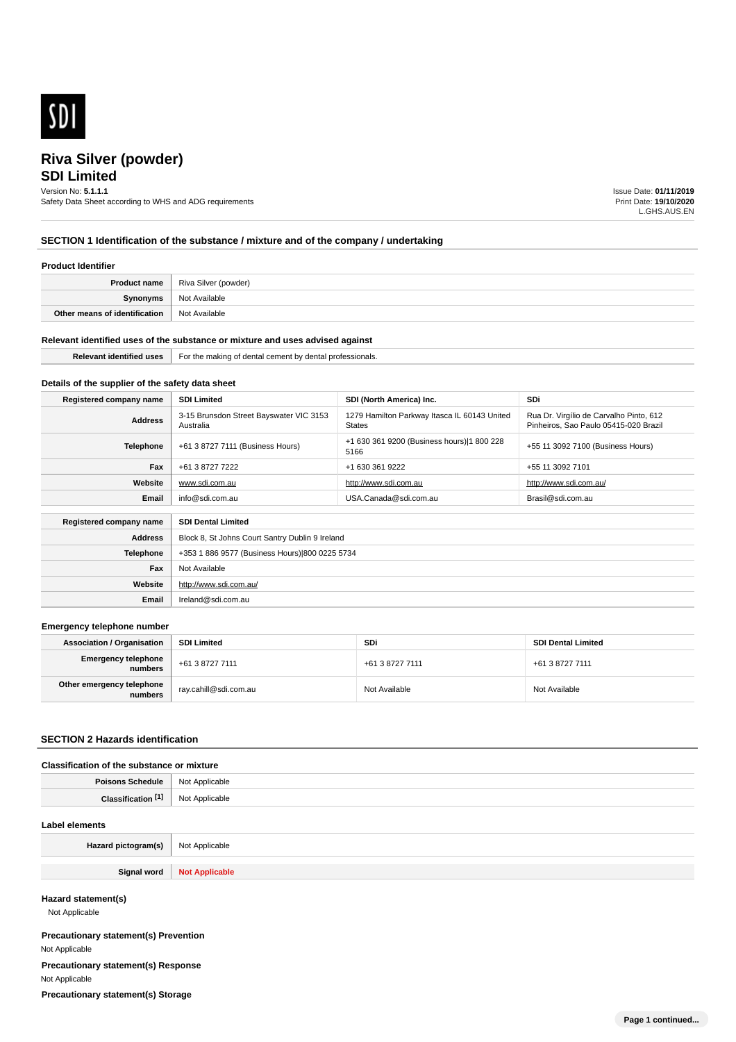

# **SDI Limited**

Version No: **5.1.1.1**

Safety Data Sheet according to WHS and ADG requirements

Issue Date: **01/11/2019** Print Date: **19/10/2020** L.GHS.AUS.EN

# **SECTION 1 Identification of the substance / mixture and of the company / undertaking**

## **Product Identifier**

|                               | <b>Product name</b>   Riva Silver (powder) |
|-------------------------------|--------------------------------------------|
| Synonyms                      | Not Available                              |
| Other means of identification | Not Available                              |

## **Relevant identified uses of the substance or mixture and uses advised against**

| 9111111<br>. | ⊦or<br>sionais<br>'OTA!<br>n∆n<br>aanta<br>TD.<br>.kinm<br>nv<br>m<br>cement<br>. |
|--------------|-----------------------------------------------------------------------------------|
|              |                                                                                   |

# **Details of the supplier of the safety data sheet**

**Website**

**Email** Ireland@sdi.com.au

http://www.sdi.com.au/

| Registered company name                              | <b>SDI Limited</b>                                   | SDI (North America) Inc.                                      | <b>SDi</b>                                                                       |
|------------------------------------------------------|------------------------------------------------------|---------------------------------------------------------------|----------------------------------------------------------------------------------|
| <b>Address</b>                                       | 3-15 Brunsdon Street Bayswater VIC 3153<br>Australia | 1279 Hamilton Parkway Itasca IL 60143 United<br><b>States</b> | Rua Dr. Virgílio de Carvalho Pinto, 612<br>Pinheiros. Sao Paulo 05415-020 Brazil |
| Telephone                                            | +61 3 8727 7111 (Business Hours)                     | +1 630 361 9200 (Business hours) 1 800 228<br>5166            | +55 11 3092 7100 (Business Hours)                                                |
| Fax                                                  | +61 3 8727 7222                                      | +1 630 361 9222                                               | +55 11 3092 7101                                                                 |
| Website                                              | www.sdi.com.au                                       | http://www.sdi.com.au                                         | http://www.sdi.com.au/                                                           |
| Email                                                | info@sdi.com.au                                      | USA.Canada@sdi.com.au                                         | Brasil@sdi.com.au                                                                |
| <b>SDI Dental Limited</b><br>Registered company name |                                                      |                                                               |                                                                                  |
| <b>Address</b>                                       | Block 8, St Johns Court Santry Dublin 9 Ireland      |                                                               |                                                                                  |
| <b>Telephone</b>                                     | +353 1 886 9577 (Business Hours) 800 0225 5734       |                                                               |                                                                                  |
| Fax                                                  | Not Available                                        |                                                               |                                                                                  |

## **Emergency telephone number**

| <b>Association / Organisation</b>     | <b>SDI Limited</b>    | <b>SDi</b>      | <b>SDI Dental Limited</b> |
|---------------------------------------|-----------------------|-----------------|---------------------------|
| <b>Emergency telephone</b><br>numbers | +61 3 8727 7111       | +61 3 8727 7111 | +61 3 8727 7111           |
| Other emergency telephone<br>numbers  | ray.cahill@sdi.com.au | Not Available   | Not Available             |

## **SECTION 2 Hazards identification**

## **Classification of the substance or mixture**

| Daice | licable                                                  |
|-------|----------------------------------------------------------|
| 1ule  | <b>N<sub>IO</sub></b>                                    |
| .     | ∩ohlo<br>.<br>the contract of the contract of the<br>. . |

## **Label elements**

| Hazard pictogram(s) | Not Applicable                       |
|---------------------|--------------------------------------|
|                     |                                      |
| Ciano.<br>- - - - - | <b>N<sub>o</sub></b><br>$110017$ ppm |

## **Hazard statement(s)**

Not Applicable

**Precautionary statement(s) Prevention** Not Applicable **Precautionary statement(s) Response** Not Applicable **Precautionary statement(s) Storage**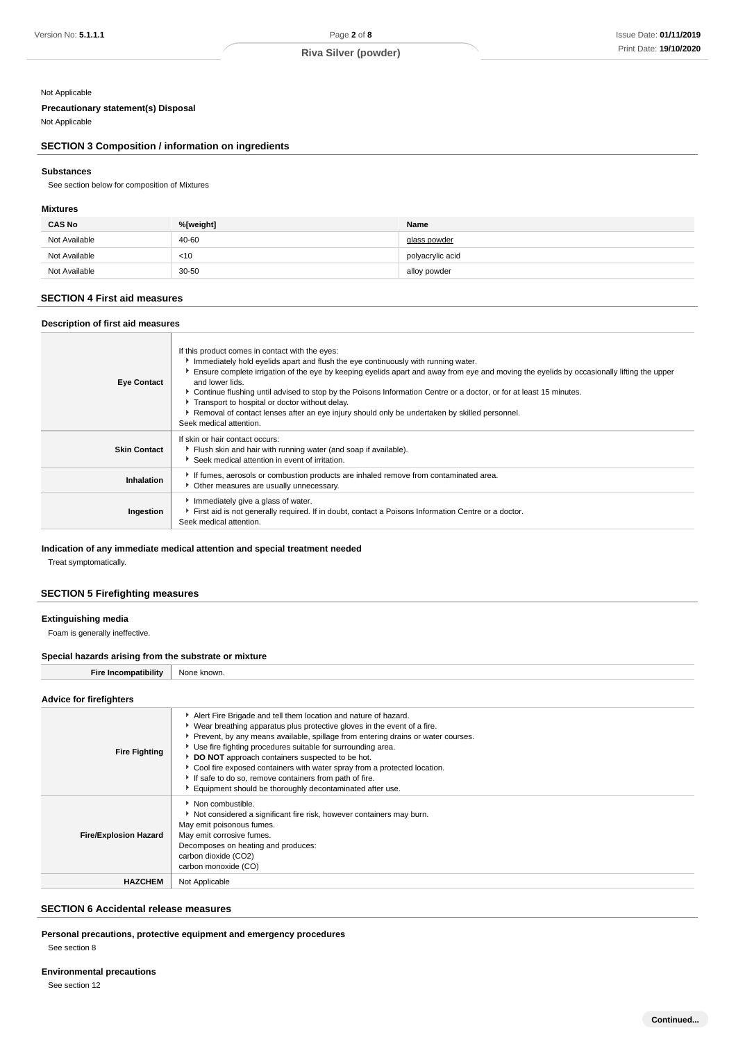# Not Applicable

## **Precautionary statement(s) Disposal**

Not Applicable

# **SECTION 3 Composition / information on ingredients**

## **Substances**

See section below for composition of Mixtures

## **Mixtures**

| <b>CAS No</b> | %[weight] | Name             |
|---------------|-----------|------------------|
| Not Available | 40-60     | glass powder     |
| Not Available | $<$ 10    | polyacrylic acid |
| Not Available | $30 - 50$ | alloy powder     |

## **SECTION 4 First aid measures**

| Description of first aid measures |                                                                                                                                                                                                                                                                                                                                                                                                                                                                                                                                                                                                            |  |
|-----------------------------------|------------------------------------------------------------------------------------------------------------------------------------------------------------------------------------------------------------------------------------------------------------------------------------------------------------------------------------------------------------------------------------------------------------------------------------------------------------------------------------------------------------------------------------------------------------------------------------------------------------|--|
| <b>Eye Contact</b>                | If this product comes in contact with the eyes:<br>Immediately hold eyelids apart and flush the eye continuously with running water.<br>Ensure complete irrigation of the eye by keeping eyelids apart and away from eye and moving the eyelids by occasionally lifting the upper<br>and lower lids.<br>► Continue flushing until advised to stop by the Poisons Information Centre or a doctor, or for at least 15 minutes.<br>Transport to hospital or doctor without delay.<br>Removal of contact lenses after an eye injury should only be undertaken by skilled personnel.<br>Seek medical attention. |  |
| <b>Skin Contact</b>               | If skin or hair contact occurs:<br>Flush skin and hair with running water (and soap if available).<br>Seek medical attention in event of irritation.                                                                                                                                                                                                                                                                                                                                                                                                                                                       |  |
| Inhalation                        | If fumes, aerosols or combustion products are inhaled remove from contaminated area.<br>Other measures are usually unnecessary.                                                                                                                                                                                                                                                                                                                                                                                                                                                                            |  |
| Ingestion                         | Immediately give a glass of water.<br>First aid is not generally required. If in doubt, contact a Poisons Information Centre or a doctor.<br>Seek medical attention.                                                                                                                                                                                                                                                                                                                                                                                                                                       |  |

## **Indication of any immediate medical attention and special treatment needed**

Treat symptomatically.

## **SECTION 5 Firefighting measures**

## **Extinguishing media**

Foam is generally ineffective.

## **Special hazards arising from the substrate or mixture**

**Fire Incompatibility** None known.

## **Advice for firefighters**

| <b>Fire Fighting</b>         | Alert Fire Brigade and tell them location and nature of hazard.<br>▶ Wear breathing apparatus plus protective gloves in the event of a fire.<br>Prevent, by any means available, spillage from entering drains or water courses.<br>Use fire fighting procedures suitable for surrounding area.<br>DO NOT approach containers suspected to be hot.<br>Cool fire exposed containers with water spray from a protected location.<br>If safe to do so, remove containers from path of fire.<br>Equipment should be thoroughly decontaminated after use. |
|------------------------------|------------------------------------------------------------------------------------------------------------------------------------------------------------------------------------------------------------------------------------------------------------------------------------------------------------------------------------------------------------------------------------------------------------------------------------------------------------------------------------------------------------------------------------------------------|
| <b>Fire/Explosion Hazard</b> | • Non combustible.<br>Not considered a significant fire risk, however containers may burn.<br>May emit poisonous fumes.<br>May emit corrosive fumes.<br>Decomposes on heating and produces:<br>carbon dioxide (CO2)<br>carbon monoxide (CO)                                                                                                                                                                                                                                                                                                          |
| <b>HAZCHEM</b>               | Not Applicable                                                                                                                                                                                                                                                                                                                                                                                                                                                                                                                                       |

# **SECTION 6 Accidental release measures**

**Personal precautions, protective equipment and emergency procedures** See section 8

# **Environmental precautions**

See section 12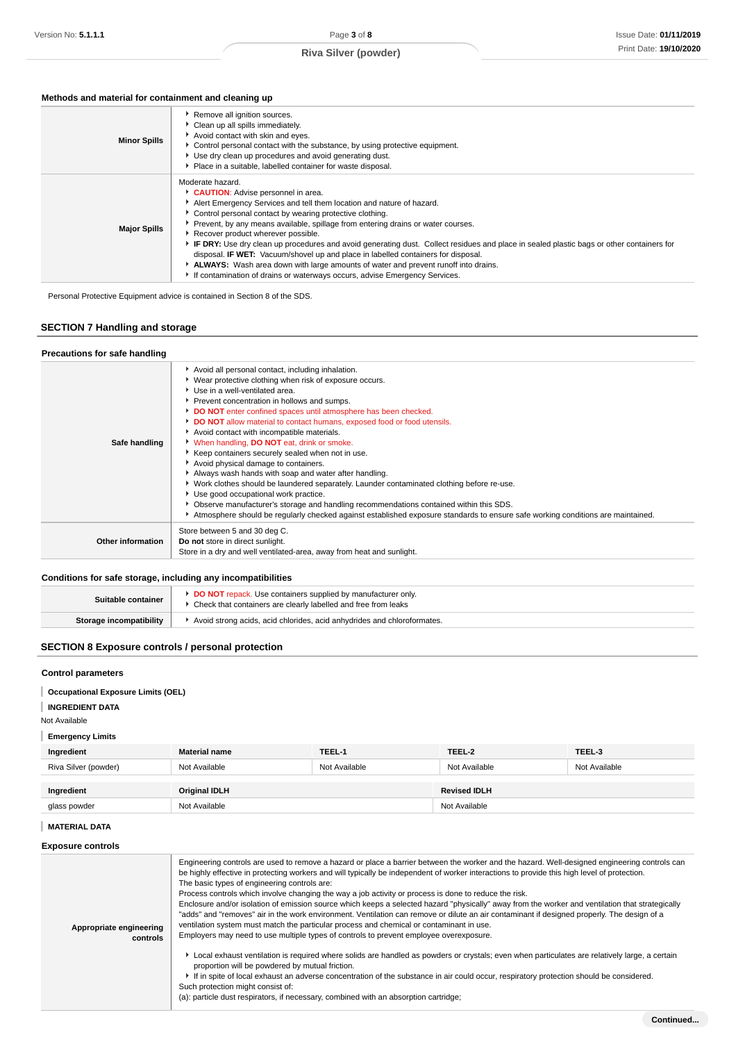# **Methods and material for containment and cleaning up**

| <b>Minor Spills</b> | ▶ Remove all ignition sources.<br>Clean up all spills immediately.<br>Avoid contact with skin and eyes.<br>• Control personal contact with the substance, by using protective equipment.<br>Use dry clean up procedures and avoid generating dust.<br>Place in a suitable, labelled container for waste disposal.                                                                                                                                                                                                                                                                                                                                                                                                                     |
|---------------------|---------------------------------------------------------------------------------------------------------------------------------------------------------------------------------------------------------------------------------------------------------------------------------------------------------------------------------------------------------------------------------------------------------------------------------------------------------------------------------------------------------------------------------------------------------------------------------------------------------------------------------------------------------------------------------------------------------------------------------------|
| <b>Major Spills</b> | Moderate hazard.<br>CAUTION: Advise personnel in area.<br>Alert Emergency Services and tell them location and nature of hazard.<br>• Control personal contact by wearing protective clothing.<br>• Prevent, by any means available, spillage from entering drains or water courses.<br>Recover product wherever possible.<br>IF DRY: Use dry clean up procedures and avoid generating dust. Collect residues and place in sealed plastic bags or other containers for<br>disposal. <b>IF WET:</b> Vacuum/shovel up and place in labelled containers for disposal.<br>ALWAYS: Wash area down with large amounts of water and prevent runoff into drains.<br>If contamination of drains or waterways occurs, advise Emergency Services. |

Personal Protective Equipment advice is contained in Section 8 of the SDS.

# **SECTION 7 Handling and storage**

## **Precautions for safe handling**

| Safe handling     | Avoid all personal contact, including inhalation.<br>▶ Wear protective clothing when risk of exposure occurs.<br>Use in a well-ventilated area.<br>Prevent concentration in hollows and sumps.<br>DO NOT enter confined spaces until atmosphere has been checked.<br>DO NOT allow material to contact humans, exposed food or food utensils.<br>Avoid contact with incompatible materials.<br>When handling, DO NOT eat, drink or smoke.<br>▶ Keep containers securely sealed when not in use.<br>Avoid physical damage to containers.<br>Always wash hands with soap and water after handling.<br>▶ Work clothes should be laundered separately. Launder contaminated clothing before re-use.<br>Use good occupational work practice.<br>▶ Observe manufacturer's storage and handling recommendations contained within this SDS.<br>Atmosphere should be regularly checked against established exposure standards to ensure safe working conditions are maintained. |
|-------------------|-----------------------------------------------------------------------------------------------------------------------------------------------------------------------------------------------------------------------------------------------------------------------------------------------------------------------------------------------------------------------------------------------------------------------------------------------------------------------------------------------------------------------------------------------------------------------------------------------------------------------------------------------------------------------------------------------------------------------------------------------------------------------------------------------------------------------------------------------------------------------------------------------------------------------------------------------------------------------|
| Other information | Store between 5 and 30 deg C.<br>Do not store in direct sunlight.<br>Store in a dry and well ventilated-area, away from heat and sunlight.                                                                                                                                                                                                                                                                                                                                                                                                                                                                                                                                                                                                                                                                                                                                                                                                                            |
|                   |                                                                                                                                                                                                                                                                                                                                                                                                                                                                                                                                                                                                                                                                                                                                                                                                                                                                                                                                                                       |

# **Conditions for safe storage, including any incompatibilities**

| Suitable container      | <b>DO NOT</b> repack. Use containers supplied by manufacturer only.<br>Check that containers are clearly labelled and free from leaks |
|-------------------------|---------------------------------------------------------------------------------------------------------------------------------------|
| Storage incompatibility | Avoid strong acids, acid chlorides, acid anhydrides and chloroformates.                                                               |

# **SECTION 8 Exposure controls / personal protection**

## **Control parameters**

**Occupational Exposure Limits (OEL)**

# **INGREDIENT DATA**

Not Available

# **Emergency Limits**

| Ingredient           | <b>Material name</b> | TEEL-1        | TEEL-2              | TEEL-3        |
|----------------------|----------------------|---------------|---------------------|---------------|
| Riva Silver (powder) | Not Available        | Not Available | Not Available       | Not Available |
| Ingredient           | <b>Original IDLH</b> |               | <b>Revised IDLH</b> |               |
| glass powder         | Not Available        |               | Not Available       |               |

## **MATERIAL DATA**

## **Exposure controls**

| Appropriate engineering<br>controls | Engineering controls are used to remove a hazard or place a barrier between the worker and the hazard. Well-designed engineering controls can<br>be highly effective in protecting workers and will typically be independent of worker interactions to provide this high level of protection.<br>The basic types of engineering controls are:<br>Process controls which involve changing the way a job activity or process is done to reduce the risk.<br>Enclosure and/or isolation of emission source which keeps a selected hazard "physically" away from the worker and ventilation that strategically<br>"adds" and "removes" air in the work environment. Ventilation can remove or dilute an air contaminant if designed properly. The design of a<br>ventilation system must match the particular process and chemical or contaminant in use.<br>Employers may need to use multiple types of controls to prevent employee overexposure. |
|-------------------------------------|-------------------------------------------------------------------------------------------------------------------------------------------------------------------------------------------------------------------------------------------------------------------------------------------------------------------------------------------------------------------------------------------------------------------------------------------------------------------------------------------------------------------------------------------------------------------------------------------------------------------------------------------------------------------------------------------------------------------------------------------------------------------------------------------------------------------------------------------------------------------------------------------------------------------------------------------------|
|                                     | Local exhaust ventilation is required where solids are handled as powders or crystals; even when particulates are relatively large, a certain<br>proportion will be powdered by mutual friction.<br>If in spite of local exhaust an adverse concentration of the substance in air could occur, respiratory protection should be considered.<br>Such protection might consist of:<br>(a): particle dust respirators, if necessary, combined with an absorption cartridge;                                                                                                                                                                                                                                                                                                                                                                                                                                                                        |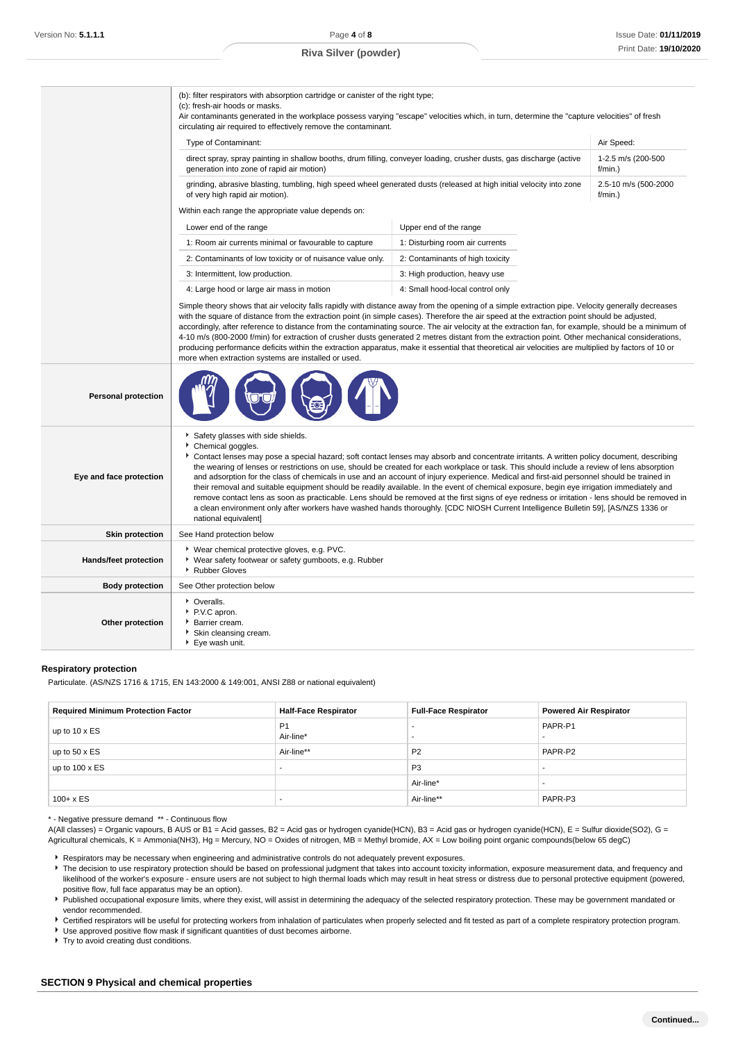|                            | (b): filter respirators with absorption cartridge or canister of the right type;<br>(c): fresh-air hoods or masks.<br>Air contaminants generated in the workplace possess varying "escape" velocities which, in turn, determine the "capture velocities" of fresh<br>circulating air required to effectively remove the contaminant.                                                                                                                                                                                                                                                                                                                                                                                                                                                                                                                                                                                                                          |                                  |                                    |
|----------------------------|---------------------------------------------------------------------------------------------------------------------------------------------------------------------------------------------------------------------------------------------------------------------------------------------------------------------------------------------------------------------------------------------------------------------------------------------------------------------------------------------------------------------------------------------------------------------------------------------------------------------------------------------------------------------------------------------------------------------------------------------------------------------------------------------------------------------------------------------------------------------------------------------------------------------------------------------------------------|----------------------------------|------------------------------------|
|                            | Type of Contaminant:                                                                                                                                                                                                                                                                                                                                                                                                                                                                                                                                                                                                                                                                                                                                                                                                                                                                                                                                          |                                  | Air Speed:                         |
|                            | direct spray, spray painting in shallow booths, drum filling, conveyer loading, crusher dusts, gas discharge (active<br>generation into zone of rapid air motion)                                                                                                                                                                                                                                                                                                                                                                                                                                                                                                                                                                                                                                                                                                                                                                                             | 1-2.5 m/s (200-500<br>$f/min.$ ) |                                    |
|                            | grinding, abrasive blasting, tumbling, high speed wheel generated dusts (released at high initial velocity into zone<br>of very high rapid air motion).                                                                                                                                                                                                                                                                                                                                                                                                                                                                                                                                                                                                                                                                                                                                                                                                       |                                  | 2.5-10 m/s (500-2000<br>$f/min.$ ) |
|                            | Within each range the appropriate value depends on:                                                                                                                                                                                                                                                                                                                                                                                                                                                                                                                                                                                                                                                                                                                                                                                                                                                                                                           |                                  |                                    |
|                            | Lower end of the range                                                                                                                                                                                                                                                                                                                                                                                                                                                                                                                                                                                                                                                                                                                                                                                                                                                                                                                                        | Upper end of the range           |                                    |
|                            | 1: Room air currents minimal or favourable to capture                                                                                                                                                                                                                                                                                                                                                                                                                                                                                                                                                                                                                                                                                                                                                                                                                                                                                                         | 1: Disturbing room air currents  |                                    |
|                            | 2: Contaminants of low toxicity or of nuisance value only.                                                                                                                                                                                                                                                                                                                                                                                                                                                                                                                                                                                                                                                                                                                                                                                                                                                                                                    | 2: Contaminants of high toxicity |                                    |
|                            | 3: Intermittent, low production.                                                                                                                                                                                                                                                                                                                                                                                                                                                                                                                                                                                                                                                                                                                                                                                                                                                                                                                              | 3: High production, heavy use    |                                    |
|                            | 4: Large hood or large air mass in motion                                                                                                                                                                                                                                                                                                                                                                                                                                                                                                                                                                                                                                                                                                                                                                                                                                                                                                                     | 4: Small hood-local control only |                                    |
|                            | Simple theory shows that air velocity falls rapidly with distance away from the opening of a simple extraction pipe. Velocity generally decreases<br>with the square of distance from the extraction point (in simple cases). Therefore the air speed at the extraction point should be adjusted,<br>accordingly, after reference to distance from the contaminating source. The air velocity at the extraction fan, for example, should be a minimum of<br>4-10 m/s (800-2000 f/min) for extraction of crusher dusts generated 2 metres distant from the extraction point. Other mechanical considerations,<br>producing performance deficits within the extraction apparatus, make it essential that theoretical air velocities are multiplied by factors of 10 or<br>more when extraction systems are installed or used.                                                                                                                                   |                                  |                                    |
| <b>Personal protection</b> |                                                                                                                                                                                                                                                                                                                                                                                                                                                                                                                                                                                                                                                                                                                                                                                                                                                                                                                                                               |                                  |                                    |
| Eye and face protection    | Safety glasses with side shields.<br>Chemical goggles.<br>Contact lenses may pose a special hazard; soft contact lenses may absorb and concentrate irritants. A written policy document, describing<br>the wearing of lenses or restrictions on use, should be created for each workplace or task. This should include a review of lens absorption<br>and adsorption for the class of chemicals in use and an account of injury experience. Medical and first-aid personnel should be trained in<br>their removal and suitable equipment should be readily available. In the event of chemical exposure, begin eye irrigation immediately and<br>remove contact lens as soon as practicable. Lens should be removed at the first signs of eye redness or irritation - lens should be removed in<br>a clean environment only after workers have washed hands thoroughly. [CDC NIOSH Current Intelligence Bulletin 59], [AS/NZS 1336 or<br>national equivalent] |                                  |                                    |
| <b>Skin protection</b>     | See Hand protection below                                                                                                                                                                                                                                                                                                                                                                                                                                                                                                                                                                                                                                                                                                                                                                                                                                                                                                                                     |                                  |                                    |
| Hands/feet protection      | ▶ Wear chemical protective gloves, e.g. PVC.<br>* Wear safety footwear or safety gumboots, e.g. Rubber<br>Rubber Gloves                                                                                                                                                                                                                                                                                                                                                                                                                                                                                                                                                                                                                                                                                                                                                                                                                                       |                                  |                                    |
| <b>Body protection</b>     | See Other protection below                                                                                                                                                                                                                                                                                                                                                                                                                                                                                                                                                                                                                                                                                                                                                                                                                                                                                                                                    |                                  |                                    |
| Other protection           | • Overalls.<br>▶ P.V.C apron.<br>Barrier cream.<br>Skin cleansing cream.<br>▶ Eye wash unit.                                                                                                                                                                                                                                                                                                                                                                                                                                                                                                                                                                                                                                                                                                                                                                                                                                                                  |                                  |                                    |

## **Respiratory protection**

Particulate. (AS/NZS 1716 & 1715, EN 143:2000 & 149:001, ANSI Z88 or national equivalent)

| <b>Required Minimum Protection Factor</b> | <b>Half-Face Respirator</b> | <b>Full-Face Respirator</b> | <b>Powered Air Respirator</b> |
|-------------------------------------------|-----------------------------|-----------------------------|-------------------------------|
| up to $10 \times ES$                      | P <sub>1</sub><br>Air-line* |                             | PAPR-P1                       |
| up to $50 \times ES$                      | Air-line**                  | P <sub>2</sub>              | PAPR-P2                       |
| up to $100 \times ES$                     |                             | P <sub>3</sub>              |                               |
|                                           |                             | Air-line*                   |                               |
| $100 + x ES$                              | -                           | Air-line**                  | PAPR-P3                       |

\* - Negative pressure demand \*\* - Continuous flow

A(All classes) = Organic vapours, B AUS or B1 = Acid gasses, B2 = Acid gas or hydrogen cyanide(HCN), B3 = Acid gas or hydrogen cyanide(HCN), E = Sulfur dioxide(SO2), G = Agricultural chemicals, K = Ammonia(NH3), Hg = Mercury, NO = Oxides of nitrogen, MB = Methyl bromide, AX = Low boiling point organic compounds(below 65 degC)

Respirators may be necessary when engineering and administrative controls do not adequately prevent exposures.

The decision to use respiratory protection should be based on professional judgment that takes into account toxicity information, exposure measurement data, and frequency and likelihood of the worker's exposure - ensure users are not subject to high thermal loads which may result in heat stress or distress due to personal protective equipment (powered, positive flow, full face apparatus may be an option).

Published occupational exposure limits, where they exist, will assist in determining the adequacy of the selected respiratory protection. These may be government mandated or vendor recommended.

Certified respirators will be useful for protecting workers from inhalation of particulates when properly selected and fit tested as part of a complete respiratory protection program.

Use approved positive flow mask if significant quantities of dust becomes airborne.

▶ Try to avoid creating dust conditions.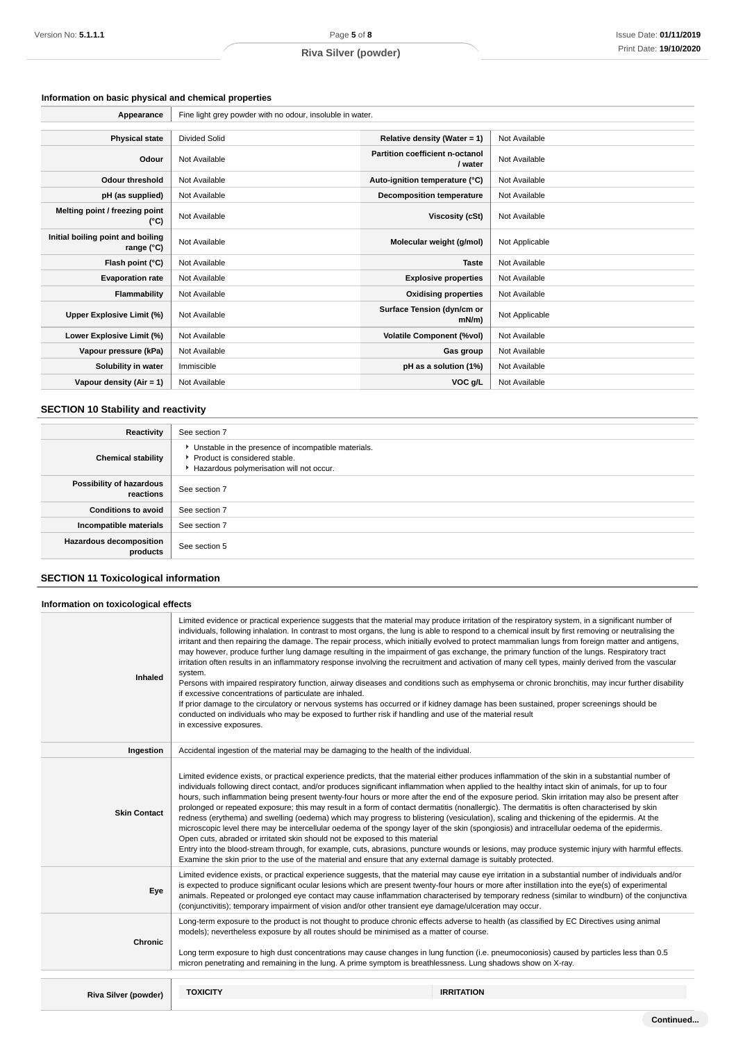# **Information on basic physical and chemical properties**

| Appearance                                      | Fine light grey powder with no odour, insoluble in water. |                                            |                |
|-------------------------------------------------|-----------------------------------------------------------|--------------------------------------------|----------------|
|                                                 |                                                           |                                            |                |
| <b>Physical state</b>                           | <b>Divided Solid</b>                                      | Relative density (Water = $1$ )            | Not Available  |
| Odour                                           | Not Available                                             | Partition coefficient n-octanol<br>/ water | Not Available  |
| <b>Odour threshold</b>                          | Not Available                                             | Auto-ignition temperature (°C)             | Not Available  |
| pH (as supplied)                                | Not Available                                             | <b>Decomposition temperature</b>           | Not Available  |
| Melting point / freezing point<br>(°C)          | Not Available                                             | Viscosity (cSt)                            | Not Available  |
| Initial boiling point and boiling<br>range (°C) | Not Available                                             | Molecular weight (g/mol)                   | Not Applicable |
| Flash point (°C)                                | Not Available                                             | <b>Taste</b>                               | Not Available  |
| <b>Evaporation rate</b>                         | Not Available                                             | <b>Explosive properties</b>                | Not Available  |
| <b>Flammability</b>                             | Not Available                                             | <b>Oxidising properties</b>                | Not Available  |
| Upper Explosive Limit (%)                       | Not Available                                             | Surface Tension (dyn/cm or<br>$mN/m$ )     | Not Applicable |
| Lower Explosive Limit (%)                       | Not Available                                             | <b>Volatile Component (%vol)</b>           | Not Available  |
| Vapour pressure (kPa)                           | Not Available                                             | Gas group                                  | Not Available  |
| Solubility in water                             | Immiscible                                                | pH as a solution (1%)                      | Not Available  |
| Vapour density (Air = 1)                        | Not Available                                             | VOC g/L                                    | Not Available  |

# **SECTION 10 Stability and reactivity**

| Reactivity                                 | See section 7                                                                                                                        |
|--------------------------------------------|--------------------------------------------------------------------------------------------------------------------------------------|
| <b>Chemical stability</b>                  | • Unstable in the presence of incompatible materials.<br>▶ Product is considered stable.<br>Hazardous polymerisation will not occur. |
| Possibility of hazardous<br>reactions      | See section 7                                                                                                                        |
| <b>Conditions to avoid</b>                 | See section 7                                                                                                                        |
| Incompatible materials                     | See section 7                                                                                                                        |
| <b>Hazardous decomposition</b><br>products | See section 5                                                                                                                        |

# **SECTION 11 Toxicological information**

# **Information on toxicological effects**

| Inhaled              | system.<br>if excessive concentrations of particulate are inhaled.<br>conducted on individuals who may be exposed to further risk if handling and use of the material result<br>in excessive exposures.                                                                                                                                                                                                                                                                                                                                                                                                                                                                                                                                                                                                                                                                                                                                                                                                                                                                                                                                                                                                                                                  | Limited evidence or practical experience suggests that the material may produce irritation of the respiratory system, in a significant number of<br>individuals, following inhalation. In contrast to most organs, the lung is able to respond to a chemical insult by first removing or neutralising the<br>irritant and then repairing the damage. The repair process, which initially evolved to protect mammalian lungs from foreign matter and antigens,<br>may however, produce further lung damage resulting in the impairment of gas exchange, the primary function of the lungs. Respiratory tract<br>irritation often results in an inflammatory response involving the recruitment and activation of many cell types, mainly derived from the vascular<br>Persons with impaired respiratory function, airway diseases and conditions such as emphysema or chronic bronchitis, may incur further disability<br>If prior damage to the circulatory or nervous systems has occurred or if kidney damage has been sustained, proper screenings should be |  |
|----------------------|----------------------------------------------------------------------------------------------------------------------------------------------------------------------------------------------------------------------------------------------------------------------------------------------------------------------------------------------------------------------------------------------------------------------------------------------------------------------------------------------------------------------------------------------------------------------------------------------------------------------------------------------------------------------------------------------------------------------------------------------------------------------------------------------------------------------------------------------------------------------------------------------------------------------------------------------------------------------------------------------------------------------------------------------------------------------------------------------------------------------------------------------------------------------------------------------------------------------------------------------------------|-----------------------------------------------------------------------------------------------------------------------------------------------------------------------------------------------------------------------------------------------------------------------------------------------------------------------------------------------------------------------------------------------------------------------------------------------------------------------------------------------------------------------------------------------------------------------------------------------------------------------------------------------------------------------------------------------------------------------------------------------------------------------------------------------------------------------------------------------------------------------------------------------------------------------------------------------------------------------------------------------------------------------------------------------------------------|--|
| Ingestion            | Accidental ingestion of the material may be damaging to the health of the individual.                                                                                                                                                                                                                                                                                                                                                                                                                                                                                                                                                                                                                                                                                                                                                                                                                                                                                                                                                                                                                                                                                                                                                                    |                                                                                                                                                                                                                                                                                                                                                                                                                                                                                                                                                                                                                                                                                                                                                                                                                                                                                                                                                                                                                                                                 |  |
| <b>Skin Contact</b>  | Limited evidence exists, or practical experience predicts, that the material either produces inflammation of the skin in a substantial number of<br>individuals following direct contact, and/or produces significant inflammation when applied to the healthy intact skin of animals, for up to four<br>hours, such inflammation being present twenty-four hours or more after the end of the exposure period. Skin irritation may also be present after<br>prolonged or repeated exposure; this may result in a form of contact dermatitis (nonallergic). The dermatitis is often characterised by skin<br>redness (erythema) and swelling (oedema) which may progress to blistering (vesiculation), scaling and thickening of the epidermis. At the<br>microscopic level there may be intercellular oedema of the spongy layer of the skin (spongiosis) and intracellular oedema of the epidermis.<br>Open cuts, abraded or irritated skin should not be exposed to this material<br>Entry into the blood-stream through, for example, cuts, abrasions, puncture wounds or lesions, may produce systemic injury with harmful effects.<br>Examine the skin prior to the use of the material and ensure that any external damage is suitably protected. |                                                                                                                                                                                                                                                                                                                                                                                                                                                                                                                                                                                                                                                                                                                                                                                                                                                                                                                                                                                                                                                                 |  |
| Eye                  | Limited evidence exists, or practical experience suggests, that the material may cause eye irritation in a substantial number of individuals and/or<br>is expected to produce significant ocular lesions which are present twenty-four hours or more after instillation into the eye(s) of experimental<br>animals. Repeated or prolonged eye contact may cause inflammation characterised by temporary redness (similar to windburn) of the conjunctiva<br>(conjunctivitis); temporary impairment of vision and/or other transient eye damage/ulceration may occur.                                                                                                                                                                                                                                                                                                                                                                                                                                                                                                                                                                                                                                                                                     |                                                                                                                                                                                                                                                                                                                                                                                                                                                                                                                                                                                                                                                                                                                                                                                                                                                                                                                                                                                                                                                                 |  |
| <b>Chronic</b>       | Long-term exposure to the product is not thought to produce chronic effects adverse to health (as classified by EC Directives using animal<br>models); nevertheless exposure by all routes should be minimised as a matter of course.<br>Long term exposure to high dust concentrations may cause changes in lung function (i.e. pneumoconiosis) caused by particles less than 0.5<br>micron penetrating and remaining in the lung. A prime symptom is breathlessness. Lung shadows show on X-ray.                                                                                                                                                                                                                                                                                                                                                                                                                                                                                                                                                                                                                                                                                                                                                       |                                                                                                                                                                                                                                                                                                                                                                                                                                                                                                                                                                                                                                                                                                                                                                                                                                                                                                                                                                                                                                                                 |  |
| Riva Silver (powder) | <b>TOXICITY</b>                                                                                                                                                                                                                                                                                                                                                                                                                                                                                                                                                                                                                                                                                                                                                                                                                                                                                                                                                                                                                                                                                                                                                                                                                                          | <b>IRRITATION</b>                                                                                                                                                                                                                                                                                                                                                                                                                                                                                                                                                                                                                                                                                                                                                                                                                                                                                                                                                                                                                                               |  |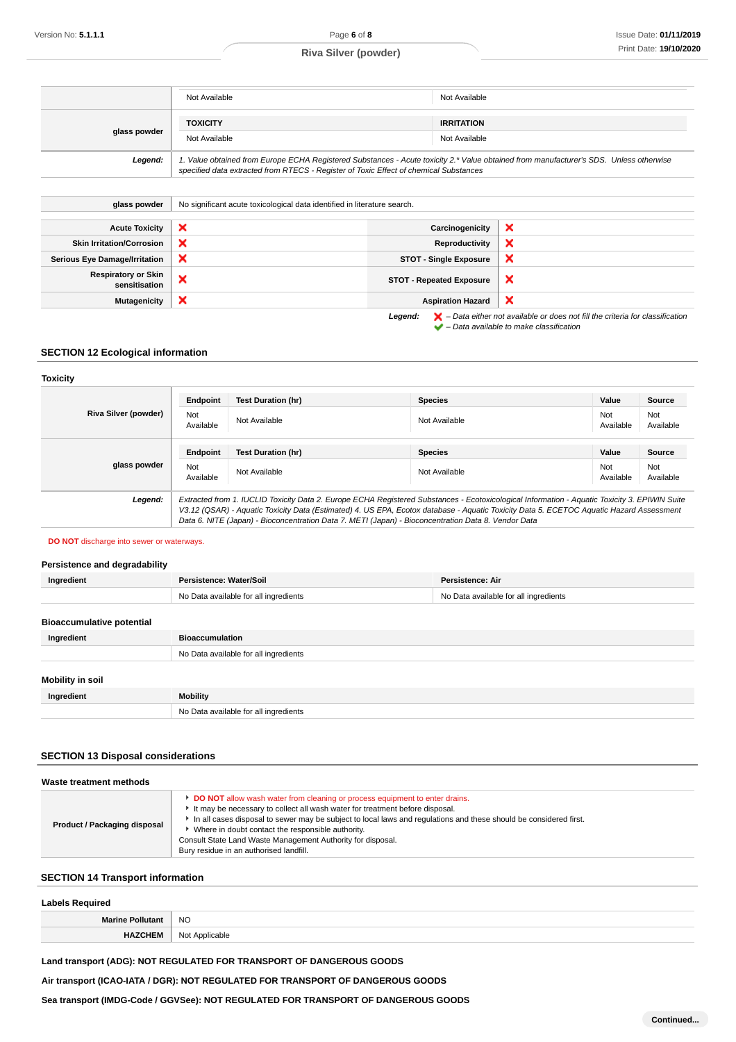| <b>TOXICITY</b><br><b>IRRITATION</b><br>glass powder<br>Not Available<br>Not Available<br>1. Value obtained from Europe ECHA Registered Substances - Acute toxicity 2.* Value obtained from manufacturer's SDS. Unless otherwise<br>Legend:<br>specified data extracted from RTECS - Register of Toxic Effect of chemical Substances | Not Available | Not Available |
|--------------------------------------------------------------------------------------------------------------------------------------------------------------------------------------------------------------------------------------------------------------------------------------------------------------------------------------|---------------|---------------|
|                                                                                                                                                                                                                                                                                                                                      |               |               |
|                                                                                                                                                                                                                                                                                                                                      |               |               |

| glass powder                                | No significant acute toxicological data identified in literature search. |                                 |                                                                                                                                                                     |
|---------------------------------------------|--------------------------------------------------------------------------|---------------------------------|---------------------------------------------------------------------------------------------------------------------------------------------------------------------|
| <b>Acute Toxicity</b>                       | ×                                                                        | Carcinogenicity                 | ×                                                                                                                                                                   |
| <b>Skin Irritation/Corrosion</b>            | ×                                                                        | Reproductivity                  | ×                                                                                                                                                                   |
| <b>Serious Eye Damage/Irritation</b>        | $\boldsymbol{\mathsf{x}}$                                                | <b>STOT - Single Exposure</b>   | $\boldsymbol{\mathsf{x}}$                                                                                                                                           |
| <b>Respiratory or Skin</b><br>sensitisation | ×                                                                        | <b>STOT - Repeated Exposure</b> | ×                                                                                                                                                                   |
| <b>Mutagenicity</b>                         | ×                                                                        | <b>Aspiration Hazard</b>        | $\boldsymbol{\mathsf{x}}$                                                                                                                                           |
|                                             |                                                                          | Legend:                         | $\blacktriangleright$ - Data either not available or does not fill the criteria for classification<br>$\blacktriangleright$ - Data available to make classification |

# **SECTION 12 Ecological information**

## **Toxicity**

|                      | Endpoint                                                                                                                                                                                                                                                                                                                                                                                        | <b>Test Duration (hr)</b> | <b>Species</b> | Value            | Source           |
|----------------------|-------------------------------------------------------------------------------------------------------------------------------------------------------------------------------------------------------------------------------------------------------------------------------------------------------------------------------------------------------------------------------------------------|---------------------------|----------------|------------------|------------------|
| Riva Silver (powder) | Not<br>Available                                                                                                                                                                                                                                                                                                                                                                                | Not Available             | Not Available  | Not<br>Available | Not<br>Available |
|                      | Endpoint                                                                                                                                                                                                                                                                                                                                                                                        | <b>Test Duration (hr)</b> | <b>Species</b> | Value            | Source           |
| glass powder         | Not<br>Available                                                                                                                                                                                                                                                                                                                                                                                | Not Available             | Not Available  | Not<br>Available | Not<br>Available |
| Legend:              | Extracted from 1. IUCLID Toxicity Data 2. Europe ECHA Registered Substances - Ecotoxicological Information - Aquatic Toxicity 3. EPIWIN Suite<br>V3.12 (QSAR) - Aquatic Toxicity Data (Estimated) 4. US EPA, Ecotox database - Aquatic Toxicity Data 5. ECETOC Aquatic Hazard Assessment<br>Data 6. NITE (Japan) - Bioconcentration Data 7. METI (Japan) - Bioconcentration Data 8. Vendor Data |                           |                |                  |                  |

## **DO NOT** discharge into sewer or waterways.

# **Persistence and degradability**

| Ingredient                       | Persistence: Water/Soil               | Persistence: Air                      |
|----------------------------------|---------------------------------------|---------------------------------------|
|                                  | No Data available for all ingredients | No Data available for all ingredients |
| <b>Bioaccumulative potential</b> |                                       |                                       |

| Ingredient              | <b>Bioaccumulation</b>                |
|-------------------------|---------------------------------------|
|                         | No Data available for all ingredients |
| <b>Mobility in soil</b> |                                       |
| Ingredient              | <b>Mobility</b>                       |
|                         | No Data available for all ingredients |

## **SECTION 13 Disposal considerations**

| Waste treatment methods      |                                                                                                                                                                                                                                                                                                                                                                                                                                                   |  |  |  |
|------------------------------|---------------------------------------------------------------------------------------------------------------------------------------------------------------------------------------------------------------------------------------------------------------------------------------------------------------------------------------------------------------------------------------------------------------------------------------------------|--|--|--|
| Product / Packaging disposal | DO NOT allow wash water from cleaning or process equipment to enter drains.<br>It may be necessary to collect all wash water for treatment before disposal.<br>In all cases disposal to sewer may be subject to local laws and regulations and these should be considered first.<br>• Where in doubt contact the responsible authority.<br>Consult State Land Waste Management Authority for disposal.<br>Bury residue in an authorised landfill. |  |  |  |

# **SECTION 14 Transport information**

| <b>Labels Required</b>  |                |  |  |
|-------------------------|----------------|--|--|
| <b>Marine Pollutant</b> | <b>NO</b>      |  |  |
| <b>HAZCHEM</b>          | Not Applicable |  |  |

# **Land transport (ADG): NOT REGULATED FOR TRANSPORT OF DANGEROUS GOODS**

**Air transport (ICAO-IATA / DGR): NOT REGULATED FOR TRANSPORT OF DANGEROUS GOODS**

**Sea transport (IMDG-Code / GGVSee): NOT REGULATED FOR TRANSPORT OF DANGEROUS GOODS**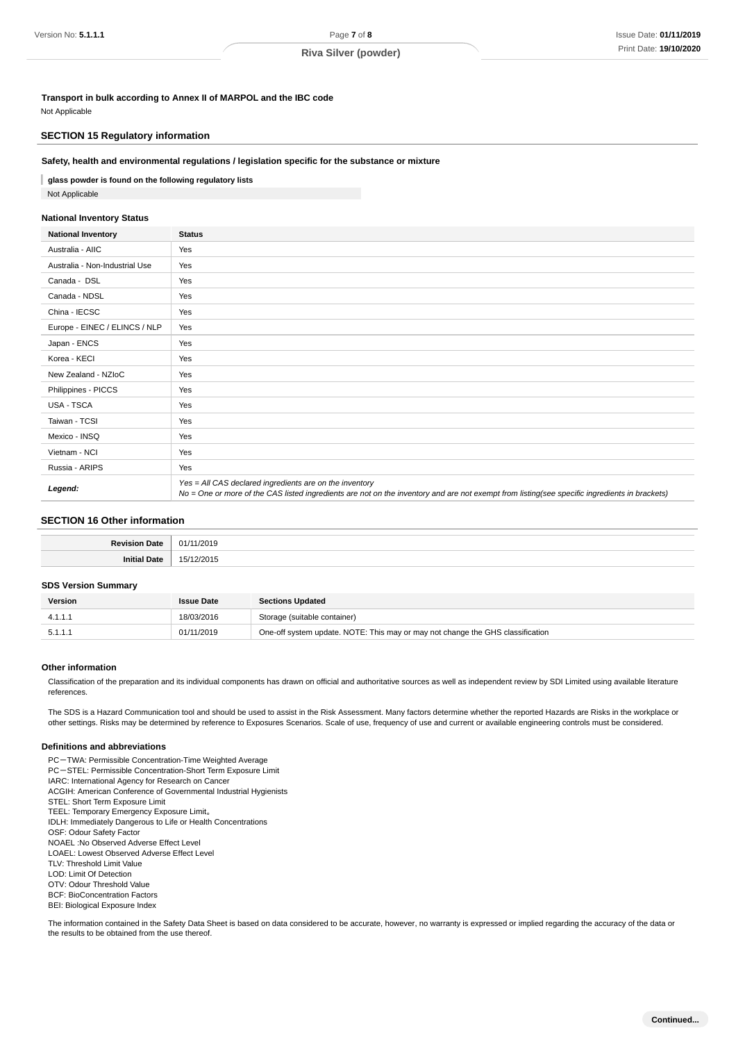**Transport in bulk according to Annex II of MARPOL and the IBC code** Not Applicable

## **SECTION 15 Regulatory information**

## **Safety, health and environmental regulations / legislation specific for the substance or mixture**

**glass powder is found on the following regulatory lists** Not Applicable

## **National Inventory Status**

| <b>National Inventory</b>      | <b>Status</b>                                                                                                                                                                                            |  |
|--------------------------------|----------------------------------------------------------------------------------------------------------------------------------------------------------------------------------------------------------|--|
| Australia - AIIC               | Yes                                                                                                                                                                                                      |  |
| Australia - Non-Industrial Use | Yes                                                                                                                                                                                                      |  |
| Canada - DSL                   | Yes                                                                                                                                                                                                      |  |
| Canada - NDSL                  | Yes                                                                                                                                                                                                      |  |
| China - IECSC                  | Yes                                                                                                                                                                                                      |  |
| Europe - EINEC / ELINCS / NLP  | Yes                                                                                                                                                                                                      |  |
| Japan - ENCS                   | Yes                                                                                                                                                                                                      |  |
| Korea - KECI                   | Yes                                                                                                                                                                                                      |  |
| New Zealand - NZIoC            | Yes                                                                                                                                                                                                      |  |
| Philippines - PICCS            | Yes                                                                                                                                                                                                      |  |
| USA - TSCA                     | Yes                                                                                                                                                                                                      |  |
| Taiwan - TCSI                  | Yes                                                                                                                                                                                                      |  |
| Mexico - INSQ                  | Yes                                                                                                                                                                                                      |  |
| Vietnam - NCI                  | Yes                                                                                                                                                                                                      |  |
| Russia - ARIPS                 | Yes                                                                                                                                                                                                      |  |
| Legend:                        | Yes = All CAS declared ingredients are on the inventory<br>No = One or more of the CAS listed ingredients are not on the inventory and are not exempt from listing(see specific ingredients in brackets) |  |

## **SECTION 16 Other information**

## **SDS Version Summary**

| Version | <b>Issue Date</b> | <b>Sections Updated</b>                                                        |
|---------|-------------------|--------------------------------------------------------------------------------|
| 4.1.1.1 | 18/03/2016        | Storage (suitable container)                                                   |
| 5.1.1.1 | 01/11/2019        | One-off system update. NOTE: This may or may not change the GHS classification |

## **Other information**

Classification of the preparation and its individual components has drawn on official and authoritative sources as well as independent review by SDI Limited using available literature references.

The SDS is a Hazard Communication tool and should be used to assist in the Risk Assessment. Many factors determine whether the reported Hazards are Risks in the workplace or other settings. Risks may be determined by reference to Exposures Scenarios. Scale of use, frequency of use and current or available engineering controls must be considered.

## **Definitions and abbreviations**

PC-TWA: Permissible Concentration-Time Weighted Average PC-STEL: Permissible Concentration-Short Term Exposure Limit IARC: International Agency for Research on Cancer ACGIH: American Conference of Governmental Industrial Hygienists STEL: Short Term Exposure Limit TEEL: Temporary Emergency Exposure Limit。 IDLH: Immediately Dangerous to Life or Health Concentrations OSF: Odour Safety Factor NOAEL :No Observed Adverse Effect Level LOAEL: Lowest Observed Adverse Effect Level TLV: Threshold Limit Value LOD: Limit Of Detection OTV: Odour Threshold Value BCF: BioConcentration Factors BEI: Biological Exposure Index

The information contained in the Safety Data Sheet is based on data considered to be accurate, however, no warranty is expressed or implied regarding the accuracy of the data or the results to be obtained from the use thereof.